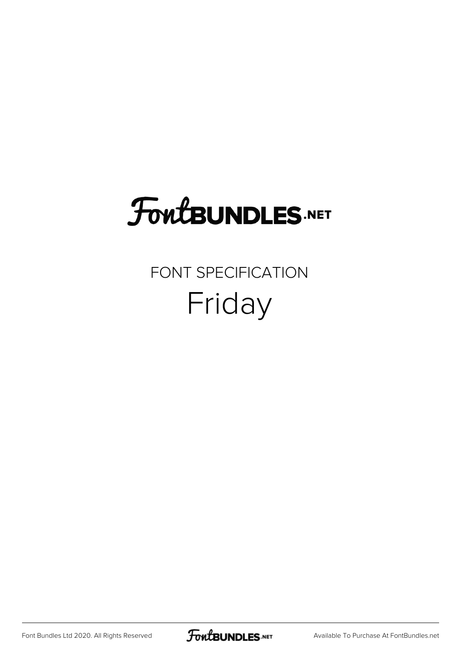## FoutBUNDLES.NET

### FONT SPECIFICATION Friday

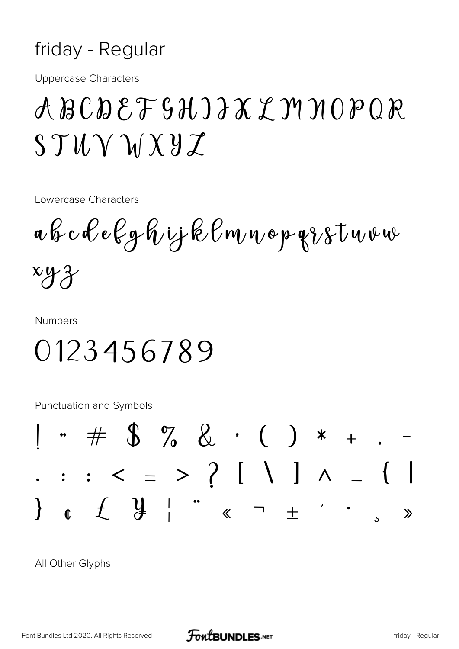#### friday - Regular

**Uppercase Characters** 

## ABCDEFSHIJXYMNOPQR  $STU\vee VXYZ$

Lowercase Characters

a b c d e k g h i j k l m n o p g i s t u v w  $xyz$ 

**Numbers** 

0123456789

**Punctuation and Symbols** 



All Other Glyphs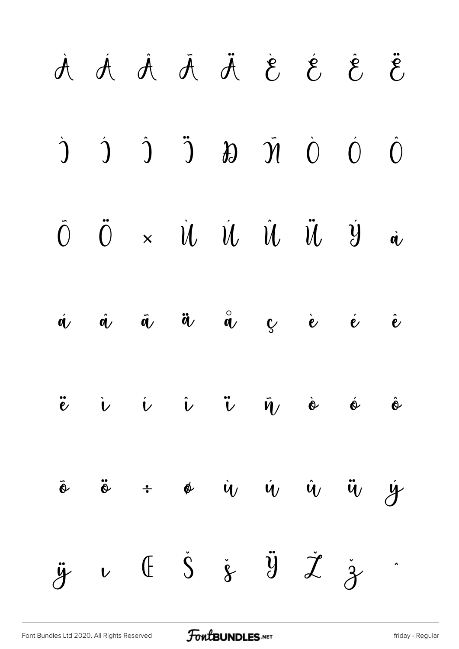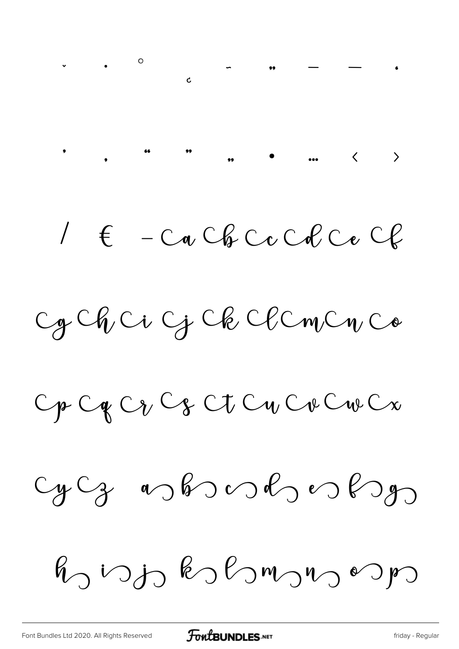$1 \in -C_0$  Cb  $C_0$  Cb  $C_1$ 

Cg Ch Ci G Ck Cl Cm Cn Co

Op Og Og Og Ot Og Og Og Og Og

 $cyCg$  as bond es bon

 $R_0$  vojo kohomono vojo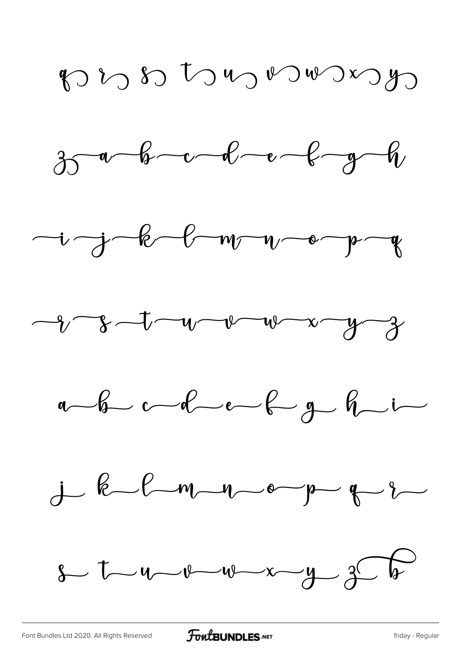